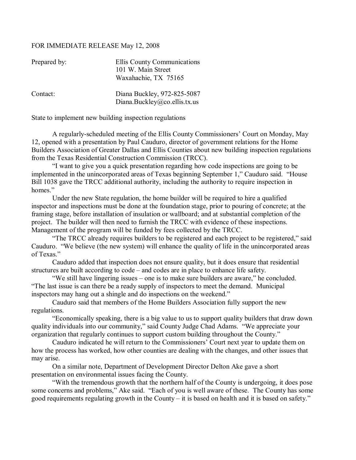## FOR IMMEDIATE RELEASE May 12, 2008

| Prepared by: | <b>Ellis County Communications</b><br>101 W. Main Street<br>Waxahachie, TX 75165 |
|--------------|----------------------------------------------------------------------------------|
| Contact:     | Diana Buckley, 972-825-5087<br>Diana.Buckley@co.ellis.tx.us                      |

State to implement new building inspection regulations

A regularly-scheduled meeting of the Ellis County Commissioners' Court on Monday, May 12, opened with a presentation by Paul Cauduro, director of government relations for the Home Builders Association of Greater Dallas and Ellis Counties about new building inspection regulations from the Texas Residential Construction Commission (TRCC).

 ìI want to give you a quick presentation regarding how code inspections are going to be implemented in the unincorporated areas of Texas beginning September 1," Cauduro said. "House Bill 1038 gave the TRCC additional authority, including the authority to require inspection in homes."

 Under the new State regulation, the home builder will be required to hire a qualified inspector and inspections must be done at the foundation stage, prior to pouring of concrete; at the framing stage, before installation of insulation or wallboard; and at substantial completion of the project. The builder will then need to furnish the TRCC with evidence of these inspections. Management of the program will be funded by fees collected by the TRCC.

"The TRCC already requires builders to be registered and each project to be registered," said Cauduro. "We believe (the new system) will enhance the quality of life in the unincorporated areas of Texas<sup>"</sup>

 Cauduro added that inspection does not ensure quality, but it does ensure that residential structures are built according to  $code$  – and codes are in place to enhance life safety.

 $W$ e still have lingering issues – one is to make sure builders are aware," he concluded. ìThe last issue is can there be a ready supply of inspectors to meet the demand. Municipal inspectors may hang out a shingle and do inspections on the weekend."

 Cauduro said that members of the Home Builders Association fully support the new regulations.

 ìEconomically speaking, there is a big value to us to support quality builders that draw down quality individuals into our community," said County Judge Chad Adams. "We appreciate your organization that regularly continues to support custom building throughout the County.<sup>n</sup>

Cauduro indicated he will return to the Commissioners' Court next year to update them on how the process has worked, how other counties are dealing with the changes, and other issues that may arise.

 On a similar note, Department of Development Director Delton Ake gave a short presentation on environmental issues facing the County.

 ìWith the tremendous growth that the northern half of the County is undergoing, it does pose some concerns and problems," Ake said. "Each of you is well aware of these. The County has some good requirements regulating growth in the County  $-$  it is based on health and it is based on safety."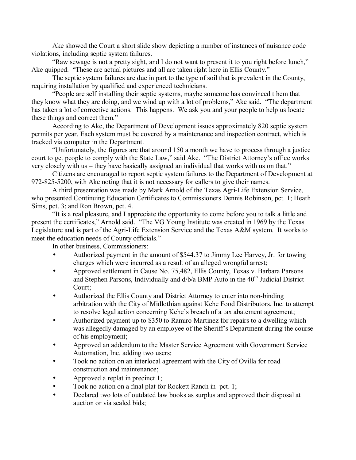Ake showed the Court a short slide show depicting a number of instances of nuisance code violations, including septic system failures.

"Raw sewage is not a pretty sight, and I do not want to present it to you right before lunch," Ake quipped. "These are actual pictures and all are taken right here in Ellis County."

 The septic system failures are due in part to the type of soil that is prevalent in the County, requiring installation by qualified and experienced technicians.

 ìPeople are self installing their septic systems, maybe someone has convinced t hem that they know what they are doing, and we wind up with a lot of problems," Ake said. "The department has taken a lot of corrective actions. This happens. We ask you and your people to help us locate these things and correct them.<sup>"</sup>

 According to Ake, the Department of Development issues approximately 820 septic system permits per year. Each system must be covered by a maintenance and inspection contract, which is tracked via computer in the Department.

 ìUnfortunately, the figures are that around 150 a month we have to process through a justice court to get people to comply with the State Law," said Ake. "The District Attorney's office works very closely with us  $-$  they have basically assigned an individual that works with us on that."

 Citizens are encouraged to report septic system failures to the Department of Development at 972-825-5200, with Ake noting that it is not necessary for callers to give their names.

 A third presentation was made by Mark Arnold of the Texas Agri-Life Extension Service, who presented Continuing Education Certificates to Commissioners Dennis Robinson, pct. 1; Heath Sims, pct. 3; and Ron Brown, pct. 4.

If is a real pleasure, and I appreciate the opportunity to come before you to talk a little and present the certificates," Arnold said. "The VG Young Institute was created in 1969 by the Texas Legislature and is part of the Agri-Life Extension Service and the Texas A&M system. It works to meet the education needs of County officials."

In other business, Commissioners:

- Authorized payment in the amount of \$544.37 to Jimmy Lee Harvey, Jr. for towing charges which were incurred as a result of an alleged wrongful arrest;
- Approved settlement in Cause No. 75,482, Ellis County, Texas v. Barbara Parsons and Stephen Parsons, Individually and  $d/b/a$  BMP Auto in the  $40<sup>th</sup>$  Judicial District Court;
- Authorized the Ellis County and District Attorney to enter into non-binding arbitration with the City of Midlothian against Kehe Food Distributors, Inc. to attempt to resolve legal action concerning Kehe's breach of a tax abatement agreement;
- Authorized payment up to \$350 to Ramiro Martinez for repairs to a dwelling which was allegedly damaged by an employee of the Sheriff's Department during the course of his employment;
- Approved an addendum to the Master Service Agreement with Government Service Automation, Inc. adding two users;
- Took no action on an interlocal agreement with the City of Ovilla for road construction and maintenance;
- Approved a replat in precinct 1;
- Took no action on a final plat for Rockett Ranch in pct. 1;
- Declared two lots of outdated law books as surplus and approved their disposal at auction or via sealed bids;